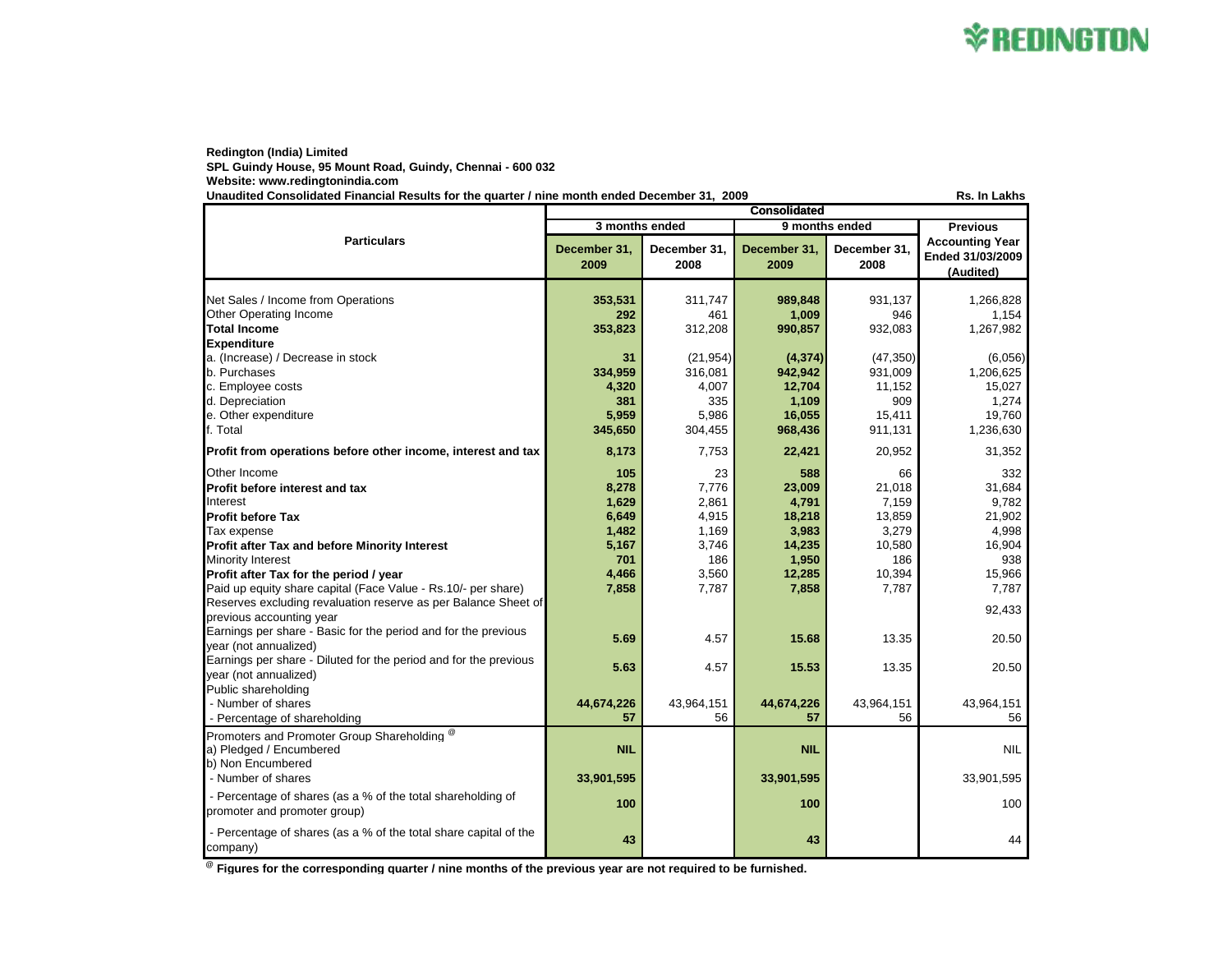## **X REDINGTON**

## **Redington (India) Limited**

**SPL Guindy House, 95 Mount Road, Guindy, Chennai - 600 032 Website: www.redingtonindia.com**

**Unaudited Consolidated Financial Results for the quarter / nine month ended December 31, 2009 Rs. In Lakhs**

**December 31, 2009 December 31, 2008 December 31, 2009 December 31, 2008** Net Sales / Income from Operations **353,531** 311,747 **989,848** 931,137 1,266,828 Other Operating Income **212 292** 461 **1,009** 946 1,154 1,154 1,267,982<br> **292** 202 1,267,982 353,823 312,208 990,857 932,083 1,267,982 **Total Income 353,823** 312,208 **990,857** 932,083 1,267,982 **Expenditure** a. (Increase) / Decrease in stock **31** (21,954) **(4,374)** (47,350) (6,056) b. Purchases **334,959** 316,081 **942,942** 931,009 1,206,625 c. Employee costs **4,320** 4,007 **12,704** 11,152 15,027 d. Depreciation **381** 335 **1,109** 909 1,274 e. Other expenditure **5,959** 5,986 **16,055** 15,411 19,760 f. Total **345,650** 304,455 **968,436** 911,131 1,236,630 **Profit from operations before other income, interest and tax <b>8,173** 7,753 22,421 20,952 31,352 Other Income **105** 23 **588** 66 332 **Profit before interest and tax 8,278** 7,776 **23,009** 21,018 31,684 Interest **1,629** 2,861 **4,791** 7,159 9,782 **Profit before Tax 6,649** 4,915 **18,218** 13,859 21,902 Tax expense **1,482** 1,169 **3,983** 3,279 4,998 **Profit after Tax and before Minority Interest 5,167** 3,746 **14,235** 10,580 16,904 Minority Interest **701** 186 **1,950** 186 938 **Profit after Tax for the period / year 400 15,966 4,466** 3,560 12,285 10,394 15,966 Paid up equity share capital (Face Value - Rs.10/- per share) **7,858** 7,787 7,787 7,787 7,787 7,787 7,787 7,787 Reserves excluding revaluation reserve as per Balance Sheet of previous accounting vexation reserve as per Datance Orlect Or Christian Communication of the Christian Communication of the Christian Communication of the Christian Christian Communication of the Christian Christian Christ Earnings per share - Basic for the period and for the previous year (not annualized) **5.69** 4.57 **15.68** 13.35 20.50 Earnings per share - Diluted for the period and for the previous year (not annualized) **5.63** 4.57 **15.53** 13.35 20.50 Public shareholding - Number of shares **44,674,226** 43,964,151 **44,674,226** 43,964,151 43,964,151 - Percentage of shareholding **57 57 57 57 57 58 56 56 56** Promoters and Promoter Group Shareholding <sup>@</sup> a) Pledged / Encumbered **NIL** NA **NIL** NA NIL b) Non Encumbered - Number of shares **33,901,595** 33,901,595 **33,901,595** 33,901,595 33,901,595 - Percentage of shares (as a % of the total shareholding of Protecting the strates (as a % of the total strate fiolding of the strategy of the strategy of the strategy of the strategy of the strategy of the strategy of the strategy of the strategy of the strategy of the strategy of - Percentage of shares (as a % of the total share capital of the company) **43** 44 **43** 44 44 **Particulars Consolidated 3 months ended 9 months ended Previous Accounting Year Ended 31/03/2009 (Audited)**

**@ Figures for the corresponding quarter / nine months of the previous year are not required to be furnished.**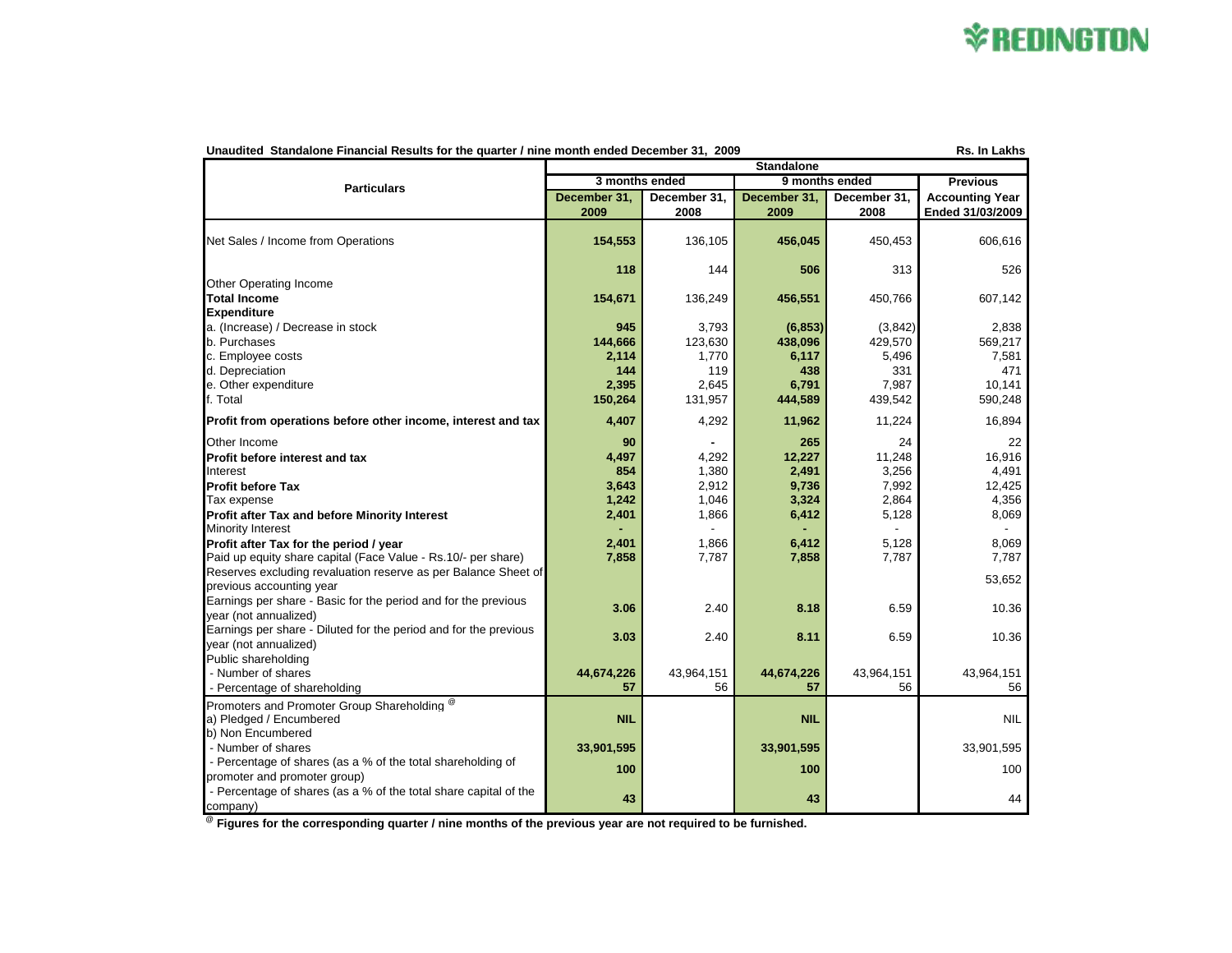## **\*REDINGTON**

| Rs. In Lakhs<br>Unaudited Standalone Financial Results for the quarter / nine month ended December 31, 2009<br><b>Standalone</b> |                                                     |                      |                      |                      |                                            |  |  |  |
|----------------------------------------------------------------------------------------------------------------------------------|-----------------------------------------------------|----------------------|----------------------|----------------------|--------------------------------------------|--|--|--|
| <b>Particulars</b>                                                                                                               | 3 months ended<br>9 months ended<br><b>Previous</b> |                      |                      |                      |                                            |  |  |  |
|                                                                                                                                  |                                                     |                      |                      |                      |                                            |  |  |  |
|                                                                                                                                  | December 31,<br>2009                                | December 31,<br>2008 | December 31,<br>2009 | December 31.<br>2008 | <b>Accounting Year</b><br>Ended 31/03/2009 |  |  |  |
|                                                                                                                                  |                                                     |                      |                      |                      |                                            |  |  |  |
| Net Sales / Income from Operations                                                                                               | 154,553                                             | 136,105              | 456,045              | 450,453              | 606,616                                    |  |  |  |
|                                                                                                                                  |                                                     |                      |                      |                      |                                            |  |  |  |
|                                                                                                                                  | 118                                                 | 144                  | 506                  | 313                  | 526                                        |  |  |  |
| Other Operating Income                                                                                                           |                                                     |                      |                      |                      |                                            |  |  |  |
| <b>Total Income</b>                                                                                                              | 154,671                                             | 136,249              | 456,551              | 450,766              | 607,142                                    |  |  |  |
| <b>Expenditure</b>                                                                                                               |                                                     |                      |                      |                      |                                            |  |  |  |
| a. (Increase) / Decrease in stock                                                                                                | 945                                                 | 3,793                | (6, 853)             | (3,842)              | 2,838                                      |  |  |  |
| b. Purchases                                                                                                                     | 144,666                                             | 123,630              | 438,096              | 429,570              | 569,217                                    |  |  |  |
| c. Employee costs<br>d. Depreciation                                                                                             | 2,114<br>144                                        | 1,770<br>119         | 6,117<br>438         | 5,496<br>331         | 7,581<br>471                               |  |  |  |
| e. Other expenditure                                                                                                             | 2,395                                               | 2,645                | 6,791                | 7,987                | 10.141                                     |  |  |  |
| f. Total                                                                                                                         | 150,264                                             | 131,957              | 444,589              | 439,542              | 590,248                                    |  |  |  |
|                                                                                                                                  |                                                     |                      |                      |                      |                                            |  |  |  |
| Profit from operations before other income, interest and tax                                                                     | 4,407                                               | 4,292                | 11,962               | 11,224               | 16,894                                     |  |  |  |
| Other Income                                                                                                                     | 90                                                  |                      | 265                  | 24                   | 22                                         |  |  |  |
| Profit before interest and tax                                                                                                   | 4,497                                               | 4,292                | 12,227               | 11,248               | 16,916                                     |  |  |  |
| Interest                                                                                                                         | 854                                                 | 1,380                | 2,491                | 3,256                | 4,491                                      |  |  |  |
| <b>Profit before Tax</b>                                                                                                         | 3,643                                               | 2,912                | 9,736                | 7,992                | 12,425                                     |  |  |  |
| Tax expense                                                                                                                      | 1,242                                               | 1,046                | 3,324                | 2,864                | 4,356                                      |  |  |  |
| Profit after Tax and before Minority Interest                                                                                    | 2,401                                               | 1,866                | 6,412                | 5,128                | 8,069                                      |  |  |  |
| <b>Minority Interest</b>                                                                                                         |                                                     |                      |                      |                      |                                            |  |  |  |
| Profit after Tax for the period / year                                                                                           | 2,401                                               | 1,866                | 6,412                | 5,128                | 8,069                                      |  |  |  |
| Paid up equity share capital (Face Value - Rs.10/- per share)                                                                    | 7,858                                               | 7,787                | 7,858                | 7,787                | 7,787                                      |  |  |  |
| Reserves excluding revaluation reserve as per Balance Sheet of                                                                   |                                                     |                      |                      |                      | 53,652                                     |  |  |  |
| previous accounting year<br>Earnings per share - Basic for the period and for the previous                                       |                                                     |                      |                      |                      |                                            |  |  |  |
| year (not annualized)                                                                                                            | 3.06                                                | 2.40                 | 8.18                 | 6.59                 | 10.36                                      |  |  |  |
| Earnings per share - Diluted for the period and for the previous                                                                 |                                                     |                      |                      |                      |                                            |  |  |  |
| year (not annualized)                                                                                                            | 3.03                                                | 2.40                 | 8.11                 | 6.59                 | 10.36                                      |  |  |  |
| Public shareholding                                                                                                              |                                                     |                      |                      |                      |                                            |  |  |  |
| - Number of shares                                                                                                               | 44,674,226                                          | 43,964,151           | 44,674,226           | 43,964,151           | 43,964,151                                 |  |  |  |
| - Percentage of shareholding                                                                                                     | 57                                                  | 56                   | 57                   | 56                   | 56                                         |  |  |  |
| Promoters and Promoter Group Shareholding ®                                                                                      |                                                     |                      |                      |                      |                                            |  |  |  |
| a) Pledged / Encumbered                                                                                                          | <b>NIL</b>                                          |                      | <b>NIL</b>           |                      | <b>NIL</b>                                 |  |  |  |
| b) Non Encumbered                                                                                                                |                                                     |                      |                      |                      |                                            |  |  |  |
| - Number of shares                                                                                                               | 33,901,595                                          |                      | 33,901,595           |                      | 33,901,595                                 |  |  |  |
| - Percentage of shares (as a % of the total shareholding of                                                                      |                                                     |                      |                      |                      |                                            |  |  |  |
| promoter and promoter group)                                                                                                     | 100                                                 |                      | 100                  |                      | 100                                        |  |  |  |
| - Percentage of shares (as a % of the total share capital of the                                                                 | 43                                                  |                      | 43                   |                      | 44                                         |  |  |  |
| company)                                                                                                                         |                                                     |                      |                      |                      |                                            |  |  |  |

**@ Figures for the corresponding quarter / nine months of the previous year are not required to be furnished.**